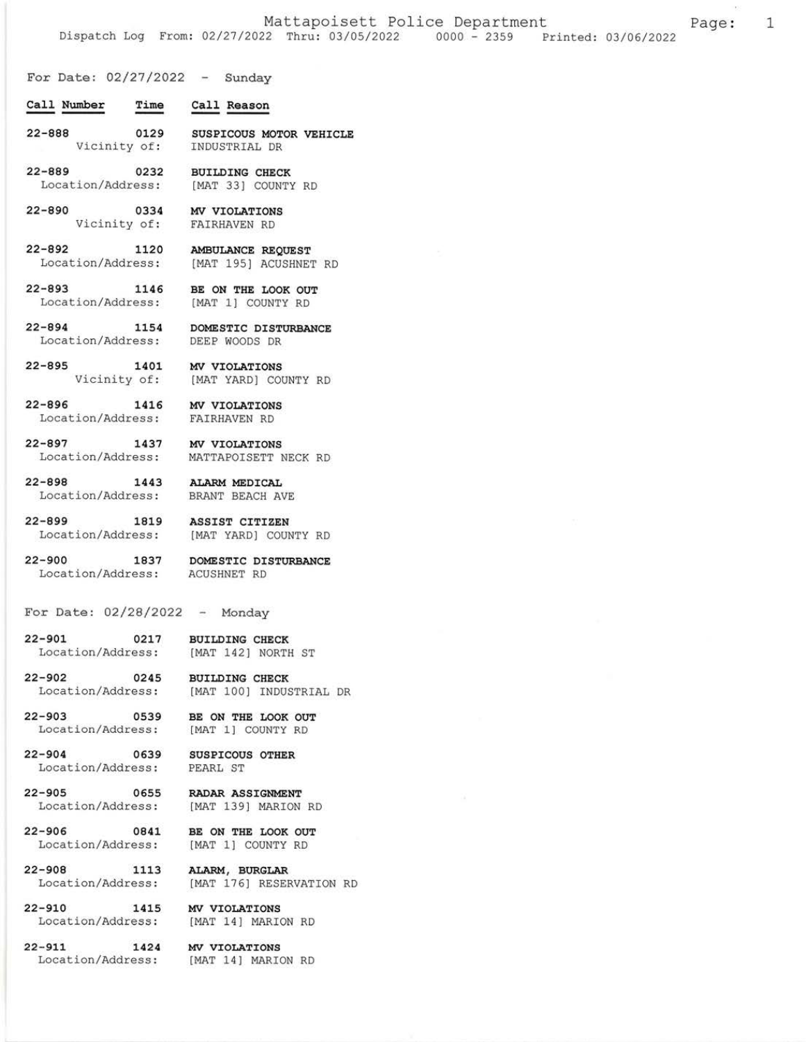For Date:  $02/27/2022 - Sunday$ 

- Time Call Reason Call Number
- 22-888 0t29 Vicinity of: SUSPICOUS MOTOR VEHICLE ]NDUSTRIAL DR
- 22-889 0232 Location/Address: BUILDING CHECK IMAT 33] COUNTY RD
- $22 890$ Vicinity of: FAIRHAVEN RD 0334 MV VIOLATIONS
- 22-892 1120 Location/Address: AMBULANCE REQUEST IMAT 195] ACUSHNET RD
- $22 893$ Location/Address: [MAT 1] COUNTY RD 1146 BE ON THE LOOK OUT
- 22-894 1154 Location/Address: DOMESTIC DISTURBANCE DEEP WOODS DR
- $22 895$ Vicinity of: [MAT YARD] COUNTY RD 1401 MV VIOLATIONS
- $22 896$ Location/Address: FAIRHAVEN RD 1416 MV VIOLATIONS
- 22-897 7437 Location/Address: MV VIOLATIONS MATTAPOISETT NECK RD
- $22 898$ Location/Address: BRANT BEACH AVE 1443 ALARM MEDICAL
- $22 899$ Location/Address : 1819 ASSIST CITIZEN
- $22 900$ Location/Address:
	- 1837 DOMESTIC DISTURBANCE ACUSHNET RD

IMAT 1OO] INDUSTRIAL DR

[MAT YARD] COUNTY RD

- For Date:  $02/28/2022 -$  Monday
- 22-9oL o2L7 Location/Address: BUILDING CHECK IMAT 142] NORTH ST
- $22 902$ Location/Address: 0245 BUILDING CHECK
- 22-903 0539 BE ON THE LOOK OUT Location/Address: IMAT 1] COUNTY RD
- $22 904$ Location/Address: 0639 SUSPICOUS OTHER
- 22-905 0655 Location/Address:
- 22-906 0841 Location/Address :
- 22-908 1113 Location/Address :
- $22 910$ Location/Address: 1415 MV VIOLATIONS
- $22 911$  1424 Location/Address:
- ALARM, BURGLAR [MAT 176] RESERVATION RD
- [MAT 14] MARION RD

RADAR ASSIGNMENT IMAT 139] MARION RD

BE ON THE LOOK OUT IMAT 1] COUNTY RD

MV VIOLATIONS [MAT 14] MARION RD

PEARL ST

1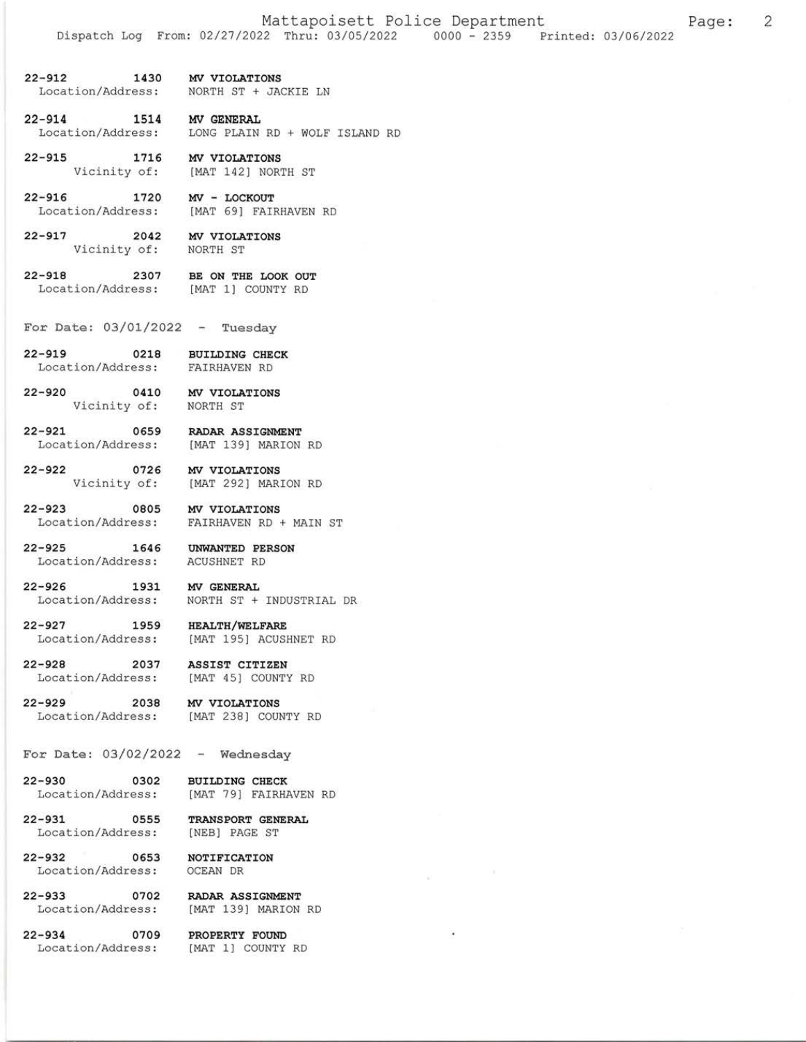$\overline{2}$ 

Page:

- 1430 MV VIOLATIONS  $22 - 912$ Location/Address: NORTH ST + JACKIE LN
- $22 914$ 1514 MV GENERAL Location/Address: LONG PLAIN RD + WOLF ISLAND RD
- $22 915$ 1716 MV VIOLATIONS Vicinity of: [MAT 142] NORTH ST
- $22 916$ 1720 MV - LOCKOUT Location/Address: [MAT 69] FAIRHAVEN RD
- $22 917$ 2042 MV VIOLATIONS Vicinity of: NORTH ST
- $22 918$ 2307 BE ON THE LOOK OUT Location/Address: [MAT 1] COUNTY RD
- For Date:  $03/01/2022 Tuesday$
- 2-919 0218 BUILDING CHECK<br>Location/Address: FAIRHAVEN RD  $22 - 919$
- $22 920$ Vicinity of:
	- 0410 MV VIOLATIONS NORTH ST
- $22 921$ 0659 RADAR ASSIGNMENT Location/Address: [MAT 139] MARION RD
- $22 922$ 0726 MV VIOLATIONS Vicinity of: [MAT 292] MARION RD
- $22 923$ 0805 MV VIOLATIONS Location/Address: FAIRHAVEN RD + MAIN ST
- 1646 UNWANTED PERSON  $22 - 925$ Location/Address: ACUSHNET RD
- $22 926$ 1931 MV GENERAL Location/Address: NORTH ST + INDUSTRIAL DR
- $22 927$ 1959 HEALTH/WELFARE Location/Address:
- $22 928$ 2037 ASSIST CITIZEN Location/Address:
- 2038  $22 - 929$ Location/Address:
- MV VIOLATIONS [MAT 238] COUNTY RD

[MAT 45] COUNTY RD

[MAT 195] ACUSHNET RD

- For Date:  $03/02/2022 -$  Wednesday
	- 0302 BUILDING CHECK Location/Address: [MAT 79] FAIRHAVEN RD
	- 0555 TRANSPORT GENERAL [NEB] PAGE ST Location/Address:
- $22 932$ 0653 NOTIFICATION Location/Address: OCEAN DR

 $22 - 930$ 

 $22 - 931$ 

- $22 933$ Location/Address:
- $22 934$ Location/Address:
- 0702 RADAR ASSIGNMENT<br>ress: [MAT 139] MARION RD
	- 0709 PROPERTY FOUND [MAT 1] COUNTY RD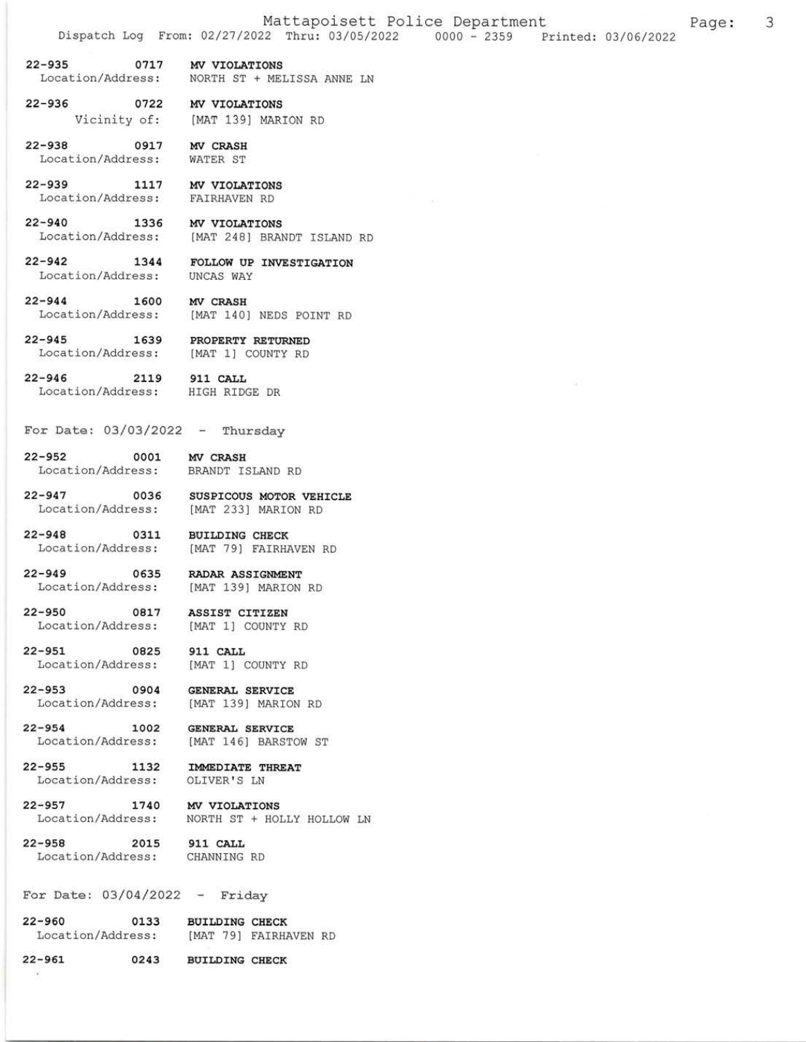- 22-935 0717 MV VIOLATIONS Location/Address: NORTH ST + MELISSA ANNE LN
- 22-936 0722 MV VIOLATIONS Vicinity of: IMAT 1391 MARION RD
- 22-938 0917 MV CRASH<br>Location/Address: WATER ST Location/Address:
- 22-939 1117 MV VIOLATIONS Location/Address: EAIRHAVEN RD
- 22-940 1336 MV VIOLATIONS Location/Address: [MAT 248] BRANDT ISLAND RD
- 22-942 1344 FOLLOW UP INVESTIGATION Location/Address: UNCAS WAy
- 22-944 1600 MV CRASH Location/Address: [MAT 140] NEDS POINT RD
- 22-945 1539 PROPERTY RETURNED Location/Address: [MAT 1] COUNTY RD
- 22-946 2tL9 911 cAtL Location/Address: HIGH RIDGE DR
- For Date:  $03/03/2022 -$  Thursday
- 22-952 0001 MV CRASH<br>Location/Address: BRANDT IS
- BRANDT ISLAND RD

[MAT 1] COUNTY RD

[MAT 1] COUNTY RD

[MAT 146] BARSTOW ST

NORTH ST + HOLLY HOLLOW LN

- 22-947 0035 susplcous MoToR VEHICLE Location/Address: [MAT 233] MARION RD
- 22-948 0311 BUILDING CHECK Location/Address: [MAT 79] FAIRHAVEN RD
- 22-949 0635 RADAR ASSIGNMENT<br>Location/Address: [MAT 139] MARION [MAT 139] MARION RD
- 22-950 0817 ASSIST CITIZEN<br>Location/Address: [MAT 1] COUNTY
- 22-951 0825 911 CALL<br>
Location/Address: [MAT 1] (
- 22-953 O9O4 GENERAL SERVICE Location/Address: [MAT 139] MARION RD
- 22-954 1002 GENERAL SERVICE<br>Location/Address: [MAT 146] BARSTO
- 22-955 1132 IMMEDIATE THREAT<br>Location/Address: OLIVER'S LN Location/Address:
	-
- 22-957 1740 MV VIOLATIONS<br>Location/Address: NORTH ST + HOI
- 22-958 2015 911 CALL Location/Address: CHANNING RD

 $\boldsymbol{\omega}$ 

- 
- For Date:  $03/04/2022 -$  Friday
- 22-960 0133 BUILDING CHECK<br>Location/Address: [MAT 79] FAIRHA [MAT 79] FAIRHAVEN RD
- 22-g6L 0243 BUTLDING CHECK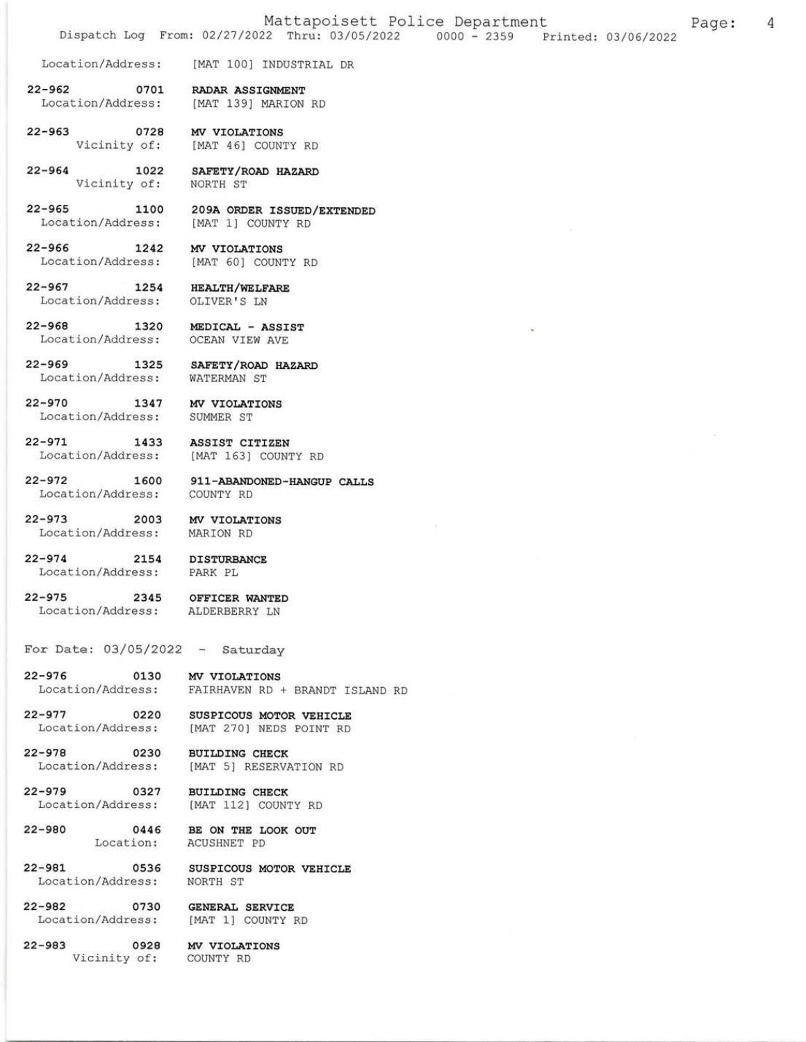Location/Address: [MAT 100] INDUSTRIAL DR

0701  $22 - 962$ RADAR ASSIGNMENT Location/Address: [MAT 139] MARION RD

 $22 - 963$ 0728 MV VIOLATIONS Vicinity of: [MAT 46] COUNTY RD

 $22 - 964$ 1022 SAFETY/ROAD HAZARD Vicinity of: NORTH ST

 $22 - 965$ 1100 Location/Address:

209A ORDER ISSUED/EXTENDED [MAT 1] COUNTY RD

 $22 - 966$ 1242 MV VIOLATIONS Location/Address: [MAT 60] COUNTY RD

1254 HEALTH/WELFARE Location/Address: OLIVER'S LN

 $22 - 968$ 2-968 1320 MEDICAL - ASSI:<br>Location/Address: OCEAN VIEW AVE

 $22 - 967$ 

 $22 - 969$ 

 $22 - 970$ 

 $22 - 973$ 

 $22 - 979$ 

 $22 - 980$ 

 $22 - 981$ 

MEDICAL - ASSIST

1325 SAFETY/ROAD HAZARD

Location/Address: WATERMAN ST

1347 MV VIOLATIONS Location/Address: SUMMER ST

 $22 - 971$ 1433 ASSIST CITIZEN Location/Address: [MAT 163] COUNTY RD

Location/Address: MARION RD

 $22 - 972$ 1600 911-ABANDONED-HANGUP CALLS Location/Address: COUNTY RD

2003 MV VIOLATIONS

 $22 - 974$ 

2154 DISTURBANCE Location/Address: PARK PL

 $22 - 975$ 2345 OFFICER WANTED ALDERBERRY LN Location/Address:

For Date:  $03/05/2022 - Saturday$ 

 $22 - 976$ MV VIOLATIONS 0130 Location/Address: FAIRHAVEN RD + BRANDT ISLAND RD

 $22 - 977$ Location/Address:

0220 SUSPICOUS MOTOR VEHICLE<br>ress: [MAT 270] NEDS POINT RD

 $22 - 978$ 0230 BUILDING CHECK Location/Address: [MAT 5] RESERVATION RD

0327 **BUILDING CHECK** Location/Address: [MAT 112] COUNTY RD

> 0446 BE ON THE LOOK OUT Location: ACUSHNET PD

0536 SUSPICOUS MOTOR VEHICLE NORTH ST Location/Address:

 $22 - 982$ 0730 GENERAL SERVICE Location/Address: [MAT 1] COUNTY RD

 $22 - 983$ 0928 MV VIOLATIONS Vicinity of: COUNTY RD

 $\overline{4}$ Page: